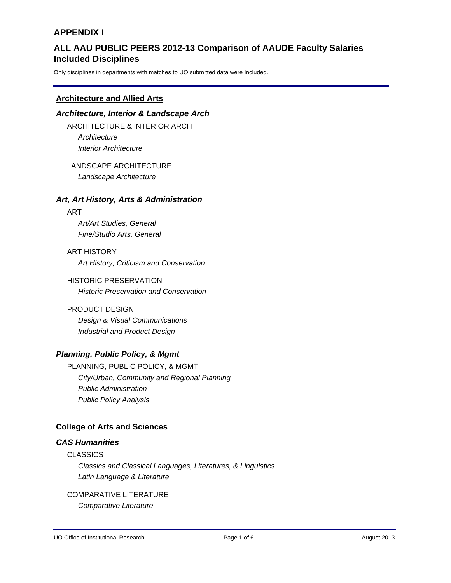# **Included Disciplines ALL AAU PUBLIC PEERS 2012-13 Comparison of AAUDE Faculty Salaries**

Only disciplines in departments with matches to UO submitted data were Included.

### **Architecture and Allied Arts**

# *Architecture, Interior & Landscape Arch* ARCHITECTURE & INTERIOR ARCH *Architecture Interior Architecture*

LANDSCAPE ARCHITECTURE *Landscape Architecture*

### *Art, Art History, Arts & Administration*

#### ART

*Art/Art Studies, General Fine/Studio Arts, General*

ART HISTORY *Art History, Criticism and Conservation*

HISTORIC PRESERVATION *Historic Preservation and Conservation*

# PRODUCT DESIGN *Design & Visual Communications*

*Industrial and Product Design*

# *Planning, Public Policy, & Mgmt*

PLANNING, PUBLIC POLICY, & MGMT *City/Urban, Community and Regional Planning Public Administration Public Policy Analysis*

# **College of Arts and Sciences**

# *CAS Humanities*

# CLASSICS *Classics and Classical Languages, Literatures, & Linguistics Latin Language & Literature*

# COMPARATIVE LITERATURE

*Comparative Literature*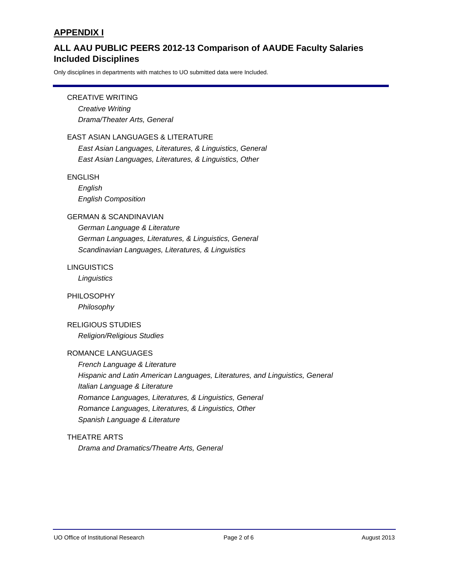# **Included Disciplines ALL AAU PUBLIC PEERS 2012-13 Comparison of AAUDE Faculty Salaries**

Only disciplines in departments with matches to UO submitted data were Included.

### CREATIVE WRITING

*Creative Writing Drama/Theater Arts, General*

#### EAST ASIAN LANGUAGES & LITERATURE

*East Asian Languages, Literatures, & Linguistics, General East Asian Languages, Literatures, & Linguistics, Other*

#### ENGLISH

*English English Composition*

## GERMAN & SCANDINAVIAN

*German Language & Literature German Languages, Literatures, & Linguistics, General Scandinavian Languages, Literatures, & Linguistics*

### **LINGUISTICS**

*Linguistics*

### PHILOSOPHY

*Philosophy*

# RELIGIOUS STUDIES

*Religion/Religious Studies*

### ROMANCE LANGUAGES

*French Language & Literature Hispanic and Latin American Languages, Literatures, and Linguistics, General Italian Language & Literature Romance Languages, Literatures, & Linguistics, General Romance Languages, Literatures, & Linguistics, Other Spanish Language & Literature*

### THEATRE ARTS

*Drama and Dramatics/Theatre Arts, General*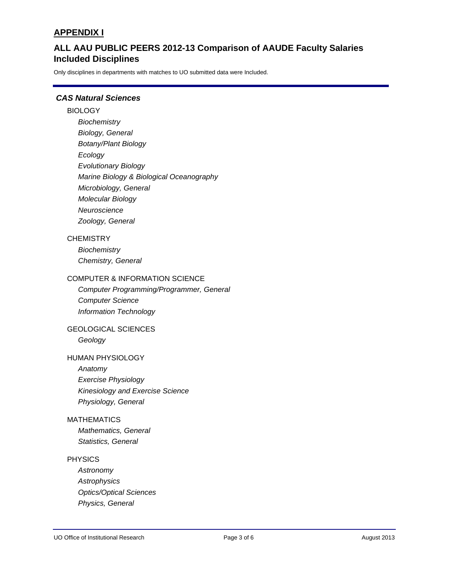# **Included Disciplines ALL AAU PUBLIC PEERS 2012-13 Comparison of AAUDE Faculty Salaries**

Only disciplines in departments with matches to UO submitted data were Included.

# *CAS Natural Sciences*

### **BIOLOGY**

*Biochemistry Biology, General Botany/Plant Biology Ecology Evolutionary Biology Marine Biology & Biological Oceanography Microbiology, General Molecular Biology Neuroscience Zoology, General*

### **CHEMISTRY**

*Biochemistry Chemistry, General*

#### COMPUTER & INFORMATION SCIENCE

*Computer Programming/Programmer, General Computer Science Information Technology*

# GEOLOGICAL SCIENCES

*Geology*

#### HUMAN PHYSIOLOGY

*Anatomy Exercise Physiology Kinesiology and Exercise Science Physiology, General*

#### MATHEMATICS

*Mathematics, General Statistics, General*

### PHYSICS

*Astronomy Astrophysics Optics/Optical Sciences Physics, General*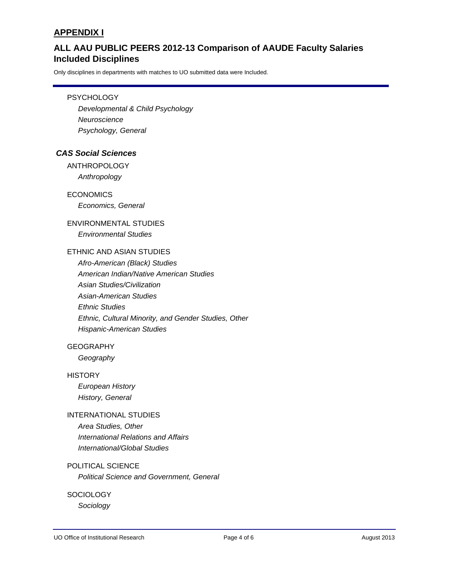# **Included Disciplines ALL AAU PUBLIC PEERS 2012-13 Comparison of AAUDE Faculty Salaries**

Only disciplines in departments with matches to UO submitted data were Included.

#### **PSYCHOLOGY**

*Developmental & Child Psychology Neuroscience Psychology, General*

### *CAS Social Sciences*

ANTHROPOLOGY *Anthropology*

ECONOMICS *Economics, General*

# ENVIRONMENTAL STUDIES *Environmental Studies*

# ETHNIC AND ASIAN STUDIES

*Afro-American (Black) Studies American Indian/Native American Studies Asian Studies/Civilization Asian-American Studies Ethnic Studies Ethnic, Cultural Minority, and Gender Studies, Other Hispanic-American Studies*

### GEOGRAPHY

*Geography*

#### **HISTORY**

*European History History, General*

## INTERNATIONAL STUDIES

*Area Studies, Other International Relations and Affairs International/Global Studies*

### POLITICAL SCIENCE

*Political Science and Government, General*

#### **SOCIOLOGY**

*Sociology*

UO Office of Institutional Research **Page 4 of 6 Page 4 of 6** August 2013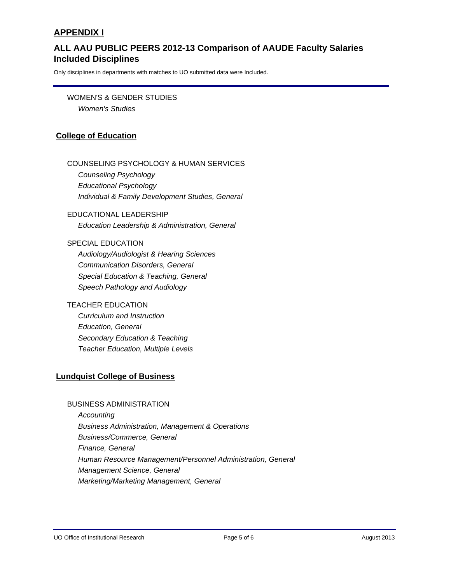# **Included Disciplines ALL AAU PUBLIC PEERS 2012-13 Comparison of AAUDE Faculty Salaries**

Only disciplines in departments with matches to UO submitted data were Included.

WOMEN'S & GENDER STUDIES *Women's Studies*

# **College of Education**

# COUNSELING PSYCHOLOGY & HUMAN SERVICES

*Counseling Psychology Educational Psychology Individual & Family Development Studies, General*

EDUCATIONAL LEADERSHIP *Education Leadership & Administration, General*

#### SPECIAL EDUCATION

*Audiology/Audiologist & Hearing Sciences Communication Disorders, General Special Education & Teaching, General Speech Pathology and Audiology*

### TEACHER EDUCATION

*Curriculum and Instruction Education, General Secondary Education & Teaching Teacher Education, Multiple Levels*

# **Lundquist College of Business**

### BUSINESS ADMINISTRATION

*Accounting Business Administration, Management & Operations Business/Commerce, General Finance, General Human Resource Management/Personnel Administration, General Management Science, General Marketing/Marketing Management, General*

UO Office of Institutional Research **Page 5 of 6** August 2013